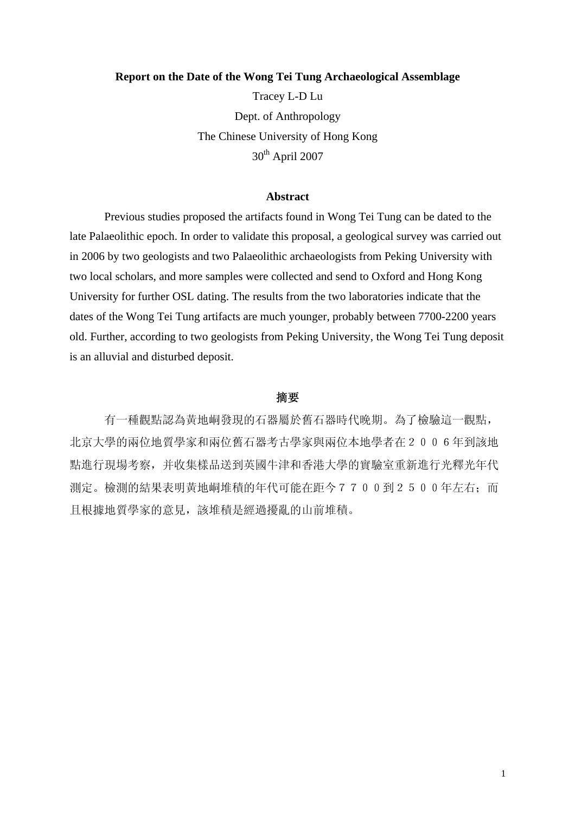### **Report on the Date of the Wong Tei Tung Archaeological Assemblage**

Tracey L-D Lu Dept. of Anthropology The Chinese University of Hong Kong  $30<sup>th</sup>$  April 2007

# **Abstract**

 Previous studies proposed the artifacts found in Wong Tei Tung can be dated to the late Palaeolithic epoch. In order to validate this proposal, a geological survey was carried out in 2006 by two geologists and two Palaeolithic archaeologists from Peking University with two local scholars, and more samples were collected and send to Oxford and Hong Kong University for further OSL dating. The results from the two laboratories indicate that the dates of the Wong Tei Tung artifacts are much younger, probably between 7700-2200 years old. Further, according to two geologists from Peking University, the Wong Tei Tung deposit is an alluvial and disturbed deposit.

# 摘要

有一種觀點認為黃地峒發現的石器屬於舊石器時代晚期。為了檢驗這一觀點, 北京大學的兩位地質學家和兩位舊石器考古學家與兩位本地學者在2006年到該地 點進行現場考察,并收集樣品送到英國牛津和香港大學的實驗室重新進行光釋光年代 測定。檢測的結果表明黃地峒堆積的年代可能在距今7700到2500年左右;而 且根據地質學家的意見,該堆積是經過擾亂的山前堆積。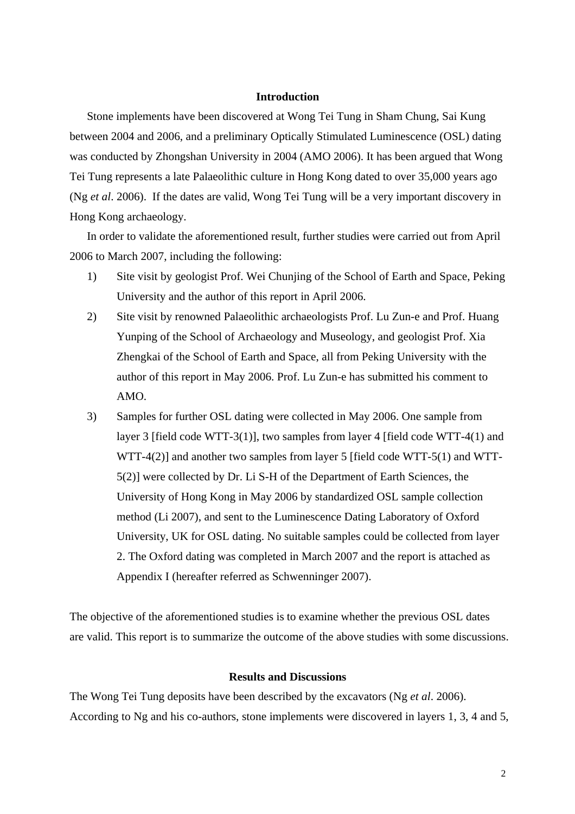# **Introduction**

Stone implements have been discovered at Wong Tei Tung in Sham Chung, Sai Kung between 2004 and 2006, and a preliminary Optically Stimulated Luminescence (OSL) dating was conducted by Zhongshan University in 2004 (AMO 2006). It has been argued that Wong Tei Tung represents a late Palaeolithic culture in Hong Kong dated to over 35,000 years ago (Ng *et al*. 2006). If the dates are valid, Wong Tei Tung will be a very important discovery in Hong Kong archaeology.

In order to validate the aforementioned result, further studies were carried out from April 2006 to March 2007, including the following:

- 1) Site visit by geologist Prof. Wei Chunjing of the School of Earth and Space, Peking University and the author of this report in April 2006.
- 2) Site visit by renowned Palaeolithic archaeologists Prof. Lu Zun-e and Prof. Huang Yunping of the School of Archaeology and Museology, and geologist Prof. Xia Zhengkai of the School of Earth and Space, all from Peking University with the author of this report in May 2006. Prof. Lu Zun-e has submitted his comment to AMO.
- 3) Samples for further OSL dating were collected in May 2006. One sample from layer 3 [field code WTT-3(1)], two samples from layer 4 [field code WTT-4(1) and WTT-4(2)] and another two samples from layer 5 [field code WTT-5(1) and WTT-5(2)] were collected by Dr. Li S-H of the Department of Earth Sciences, the University of Hong Kong in May 2006 by standardized OSL sample collection method (Li 2007), and sent to the Luminescence Dating Laboratory of Oxford University, UK for OSL dating. No suitable samples could be collected from layer 2. The Oxford dating was completed in March 2007 and the report is attached as Appendix I (hereafter referred as Schwenninger 2007).

The objective of the aforementioned studies is to examine whether the previous OSL dates are valid. This report is to summarize the outcome of the above studies with some discussions.

# **Results and Discussions**

The Wong Tei Tung deposits have been described by the excavators (Ng *et al*. 2006). According to Ng and his co-authors, stone implements were discovered in layers 1, 3, 4 and 5,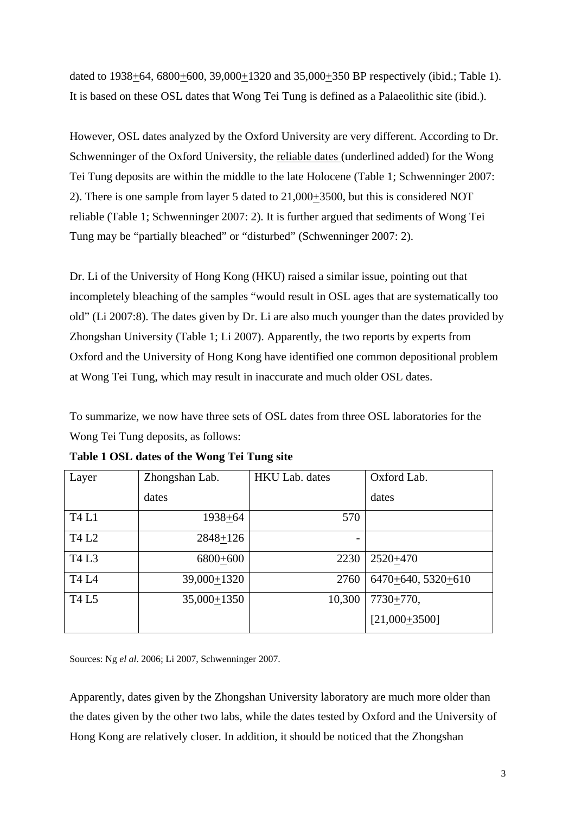dated to 1938+64, 6800+600, 39,000+1320 and 35,000+350 BP respectively (ibid.; Table 1). It is based on these OSL dates that Wong Tei Tung is defined as a Palaeolithic site (ibid.).

However, OSL dates analyzed by the Oxford University are very different. According to Dr. Schwenninger of the Oxford University, the reliable dates (underlined added) for the Wong Tei Tung deposits are within the middle to the late Holocene (Table 1; Schwenninger 2007: 2). There is one sample from layer 5 dated to 21,000+3500, but this is considered NOT reliable (Table 1; Schwenninger 2007: 2). It is further argued that sediments of Wong Tei Tung may be "partially bleached" or "disturbed" (Schwenninger 2007: 2).

Dr. Li of the University of Hong Kong (HKU) raised a similar issue, pointing out that incompletely bleaching of the samples "would result in OSL ages that are systematically too old" (Li 2007:8). The dates given by Dr. Li are also much younger than the dates provided by Zhongshan University (Table 1; Li 2007). Apparently, the two reports by experts from Oxford and the University of Hong Kong have identified one common depositional problem at Wong Tei Tung, which may result in inaccurate and much older OSL dates.

To summarize, we now have three sets of OSL dates from three OSL laboratories for the Wong Tei Tung deposits, as follows:

| Layer        | Zhongshan Lab. | <b>HKU Lab.</b> dates | Oxford Lab.          |
|--------------|----------------|-----------------------|----------------------|
|              | dates          |                       | dates                |
| <b>T4 L1</b> | 1938+64        | 570                   |                      |
| <b>T4 L2</b> | $2848 + 126$   |                       |                      |
| T4 L3        | 6800+600       | 2230                  | 2520+470             |
| <b>T4 L4</b> | 39,000+1320    | 2760                  | $6470+640, 5320+610$ |
| <b>T4 L5</b> | $35,000+1350$  | 10,300                | $7730 + 770,$        |
|              |                |                       | $[21,000+3500]$      |

**Table 1 OSL dates of the Wong Tei Tung site** 

Sources: Ng *el al*. 2006; Li 2007, Schwenninger 2007.

Apparently, dates given by the Zhongshan University laboratory are much more older than the dates given by the other two labs, while the dates tested by Oxford and the University of Hong Kong are relatively closer. In addition, it should be noticed that the Zhongshan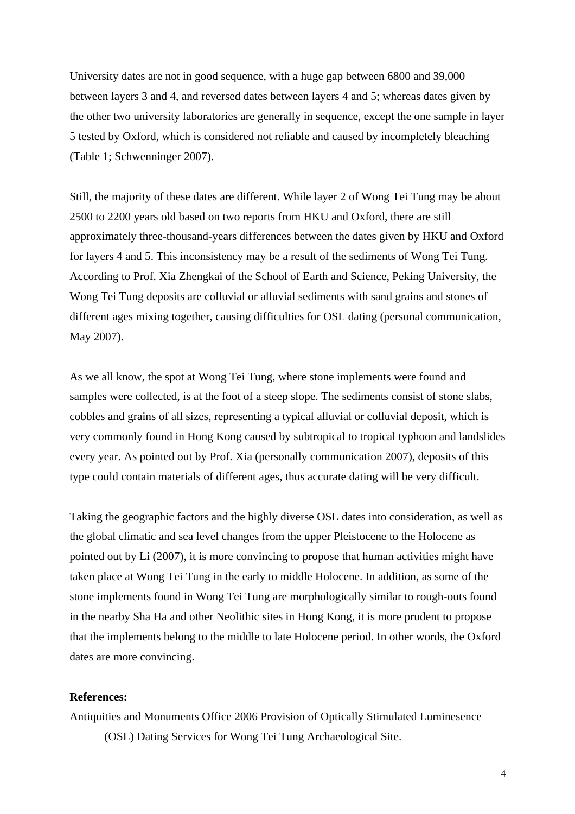University dates are not in good sequence, with a huge gap between 6800 and 39,000 between layers 3 and 4, and reversed dates between layers 4 and 5; whereas dates given by the other two university laboratories are generally in sequence, except the one sample in layer 5 tested by Oxford, which is considered not reliable and caused by incompletely bleaching (Table 1; Schwenninger 2007).

Still, the majority of these dates are different. While layer 2 of Wong Tei Tung may be about 2500 to 2200 years old based on two reports from HKU and Oxford, there are still approximately three-thousand-years differences between the dates given by HKU and Oxford for layers 4 and 5. This inconsistency may be a result of the sediments of Wong Tei Tung. According to Prof. Xia Zhengkai of the School of Earth and Science, Peking University, the Wong Tei Tung deposits are colluvial or alluvial sediments with sand grains and stones of different ages mixing together, causing difficulties for OSL dating (personal communication, May 2007).

As we all know, the spot at Wong Tei Tung, where stone implements were found and samples were collected, is at the foot of a steep slope. The sediments consist of stone slabs, cobbles and grains of all sizes, representing a typical alluvial or colluvial deposit, which is very commonly found in Hong Kong caused by subtropical to tropical typhoon and landslides every year. As pointed out by Prof. Xia (personally communication 2007), deposits of this type could contain materials of different ages, thus accurate dating will be very difficult.

Taking the geographic factors and the highly diverse OSL dates into consideration, as well as the global climatic and sea level changes from the upper Pleistocene to the Holocene as pointed out by Li (2007), it is more convincing to propose that human activities might have taken place at Wong Tei Tung in the early to middle Holocene. In addition, as some of the stone implements found in Wong Tei Tung are morphologically similar to rough-outs found in the nearby Sha Ha and other Neolithic sites in Hong Kong, it is more prudent to propose that the implements belong to the middle to late Holocene period. In other words, the Oxford dates are more convincing.

### **References:**

Antiquities and Monuments Office 2006 Provision of Optically Stimulated Luminesence (OSL) Dating Services for Wong Tei Tung Archaeological Site.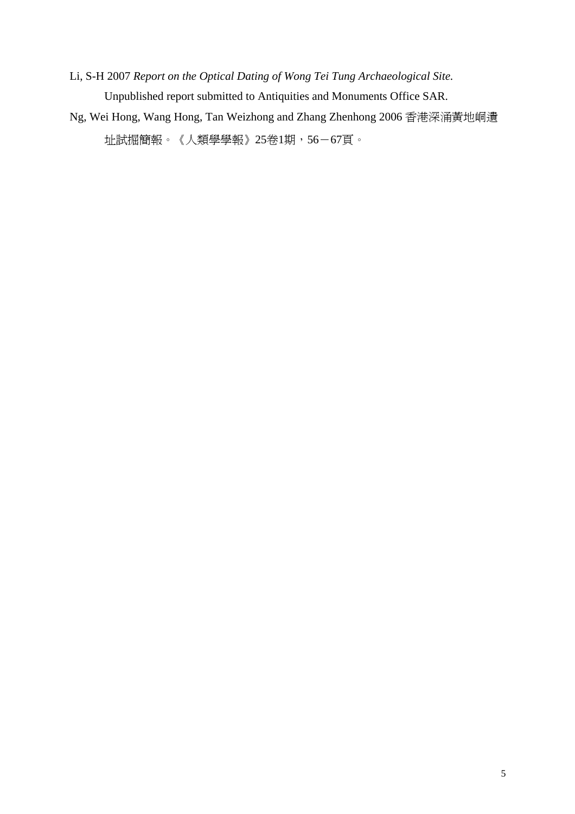Li, S-H 2007 *Report on the Optical Dating of Wong Tei Tung Archaeological Site.* Unpublished report submitted to Antiquities and Monuments Office SAR.

Ng, Wei Hong, Wang Hong, Tan Weizhong and Zhang Zhenhong 2006 香港深涌黃地峒遺 址試掘簡報。《人類學學報》25卷1期,56-67頁。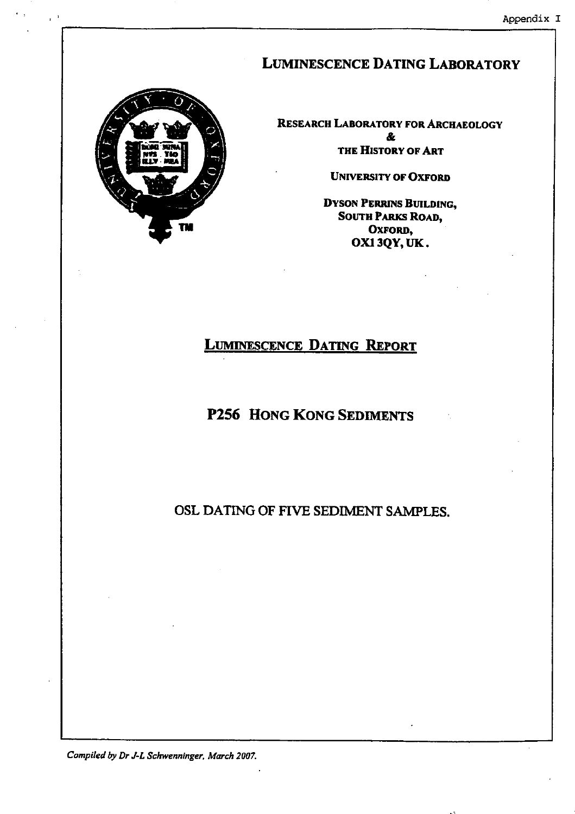# **LUMINESCENCE DATING LABORATORY**



RESEARCH LABORATORY FOR ARCHAEOLOGY & THE HISTORY OF ART

**UNIVERSITY OF OXFORD** 

**DYSON PERRINS BUILDING, SOUTH PARKS ROAD,** OXFORD, OX13QY, UK.

# **LUMINESCENCE DATING REPORT**

# P256 HONG KONG SEDIMENTS

OSL DATING OF FIVE SEDIMENT SAMPLES.

Compiled by Dr J-L Schwenninger, March 2007.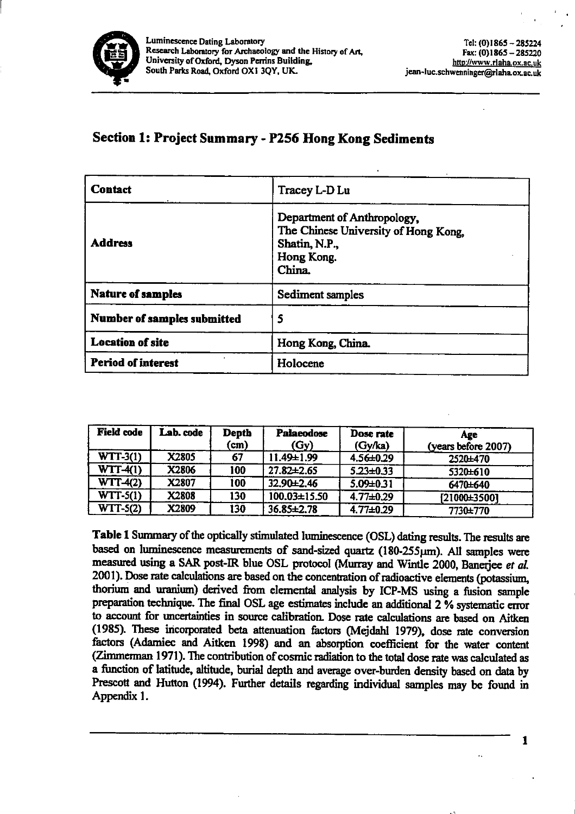

# Section 1: Project Summary - P256 Hong Kong Sediments

| <b>Contact</b>              | Tracey L-D Lu                                                                                                |  |  |  |  |
|-----------------------------|--------------------------------------------------------------------------------------------------------------|--|--|--|--|
| <b>Address</b>              | Department of Anthropology,<br>The Chinese University of Hong Kong,<br>Shatin, N.P.,<br>Hong Kong.<br>China. |  |  |  |  |
| <b>Nature of samples</b>    | Sediment samples                                                                                             |  |  |  |  |
| Number of samples submitted | 5                                                                                                            |  |  |  |  |
| <b>Location of site</b>     | Hong Kong, China.                                                                                            |  |  |  |  |
| <b>Period of interest</b>   | Holocene                                                                                                     |  |  |  |  |

| <b>Field code</b> | Lab. code | <b>Depth</b><br>(cm) | <b>Palaeodose</b><br>(Gy) | Dose rate<br>(Gy/ka) | Age<br>(years before 2007) |
|-------------------|-----------|----------------------|---------------------------|----------------------|----------------------------|
| $WTT-3(1)$        | X2805     | 67                   | 11.49±1.99                | 4.56±0.29            | 2520±470                   |
| $WTT-4(1)$        | X2806     | 100                  | $27.82 \pm 2.65$          | $5.23 + 0.33$        | 5320±610                   |
| $WTT-4(2)$        | X2807     | 100                  | 32.90±2.46                | $5.09 \pm 0.31$      | 6470±640                   |
| $WTT-5(1)$        | X2808     | 130                  | 100.03±15.50              | $4.77 \pm 0.29$      | [21000±3500]               |
| $WTT-5(2)$        | X2809     | 130                  | 36.85±2.78                | $4.77 \pm 0.29$      | 7730±770                   |

Table 1 Summary of the optically stimulated luminescence (OSL) dating results. The results are based on luminescence measurements of sand-sized quartz (180-255µm). All samples were measured using a SAR post-IR blue OSL protocol (Murray and Wintle 2000, Banerjee et al. 2001). Dose rate calculations are based on the concentration of radioactive elements (potassium, thorium and uranium) derived from elemental analysis by ICP-MS using a fusion sample preparation technique. The final OSL age estimates include an additional 2 % systematic error to account for uncertainties in source calibration. Dose rate calculations are based on Aitken (1985). These incorporated beta attenuation factors (Mejdahl 1979), dose rate conversion factors (Adamiec and Aitken 1998) and an absorption coefficient for the water content (Zimmerman 1971). The contribution of cosmic radiation to the total dose rate was calculated as a function of latitude, altitude, burial depth and average over-burden density based on data by Prescott and Hutton (1994). Further details regarding individual samples may be found in Appendix 1.

 $\mathbf{1}$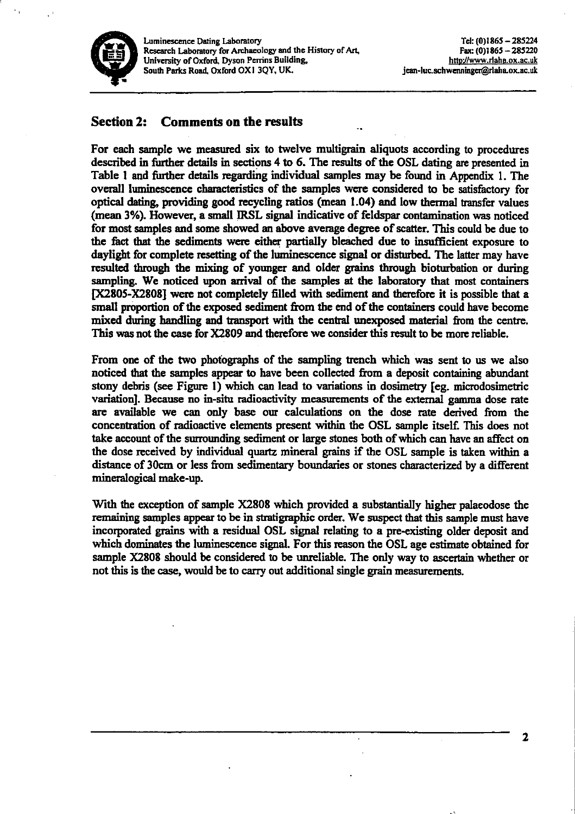

#### **Section 2: Comments on the results**

For each sample we measured six to twelve multigrain aliquots according to procedures described in further details in sections 4 to 6. The results of the OSL dating are presented in Table 1 and further details regarding individual samples may be found in Appendix 1. The overall luminescence characteristics of the samples were considered to be satisfactory for optical dating, providing good recycling ratios (mean 1.04) and low thermal transfer values (mean 3%). However, a small IRSL signal indicative of feldspar contamination was noticed for most samples and some showed an above average degree of scatter. This could be due to the fact that the sediments were either partially bleached due to insufficient exposure to daylight for complete resetting of the luminescence signal or disturbed. The latter may have resulted through the mixing of younger and older grains through bioturbation or during sampling. We noticed upon arrival of the samples at the laboratory that most containers [X2805-X2808] were not completely filled with sediment and therefore it is possible that a small proportion of the exposed sediment from the end of the containers could have become mixed during handling and transport with the central unexposed material from the centre. This was not the case for X2809 and therefore we consider this result to be more reliable.

From one of the two photographs of the sampling trench which was sent to us we also noticed that the samples appear to have been collected from a deposit containing abundant stony debris (see Figure 1) which can lead to variations in dosimetry [eg. microdosimetric variation]. Because no in-situ radioactivity measurements of the external gamma dose rate are available we can only base our calculations on the dose rate derived from the concentration of radioactive elements present within the OSL sample itself. This does not take account of the surrounding sediment or large stones both of which can have an affect on the dose received by individual quartz mineral grains if the OSL sample is taken within a distance of 30cm or less from sedimentary boundaries or stones characterized by a different mineralogical make-up.

With the exception of sample X2808 which provided a substantially higher palaeodose the remaining samples appear to be in stratigraphic order. We suspect that this sample must have incorporated grains with a residual OSL signal relating to a pre-existing older deposit and which dominates the luminescence signal. For this reason the OSL age estimate obtained for sample X2808 should be considered to be unreliable. The only way to ascertain whether or not this is the case, would be to carry out additional single grain measurements.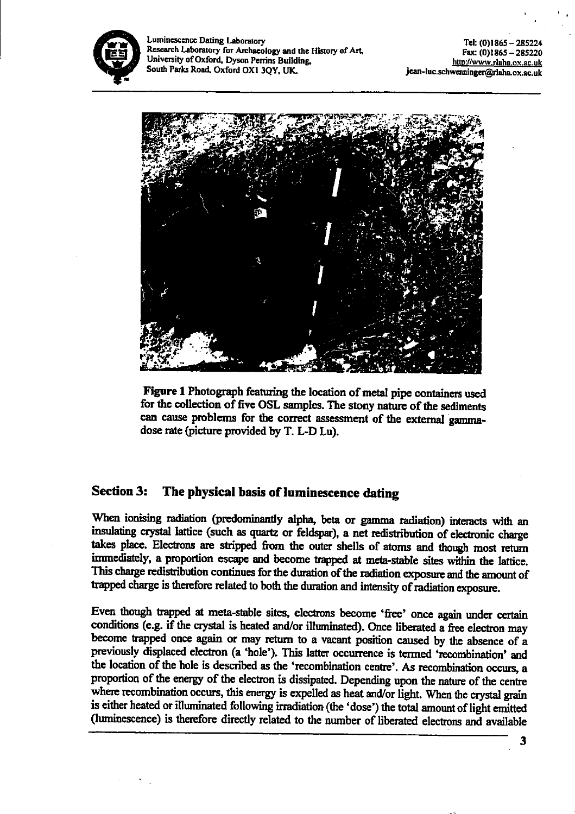



Figure 1 Photograph featuring the location of metal pipe containers used for the collection of five OSL samples. The stony nature of the sediments can cause problems for the correct assessment of the external gammadose rate (picture provided by T. L-D Lu).

#### **Section 3:** The physical basis of luminescence dating

When ionising radiation (predominantly alpha, beta or gamma radiation) interacts with an insulating crystal lattice (such as quartz or feldspar), a net redistribution of electronic charge takes place. Electrons are stripped from the outer shells of atoms and though most return immediately, a proportion escape and become trapped at meta-stable sites within the lattice. This charge redistribution continues for the duration of the radiation exposure and the amount of trapped charge is therefore related to both the duration and intensity of radiation exposure.

Even though trapped at meta-stable sites, electrons become 'free' once again under certain conditions (e.g. if the crystal is heated and/or illuminated). Once liberated a free electron may become trapped once again or may return to a vacant position caused by the absence of a previously displaced electron (a 'hole'). This latter occurrence is termed 'recombination' and the location of the hole is described as the 'recombination centre'. As recombination occurs, a proportion of the energy of the electron is dissipated. Depending upon the nature of the centre where recombination occurs, this energy is expelled as heat and/or light. When the crystal grain is either heated or illuminated following irradiation (the 'dose') the total amount of light emitted (luminescence) is therefore directly related to the number of liberated electrons and available

 $\overline{\mathbf{3}}$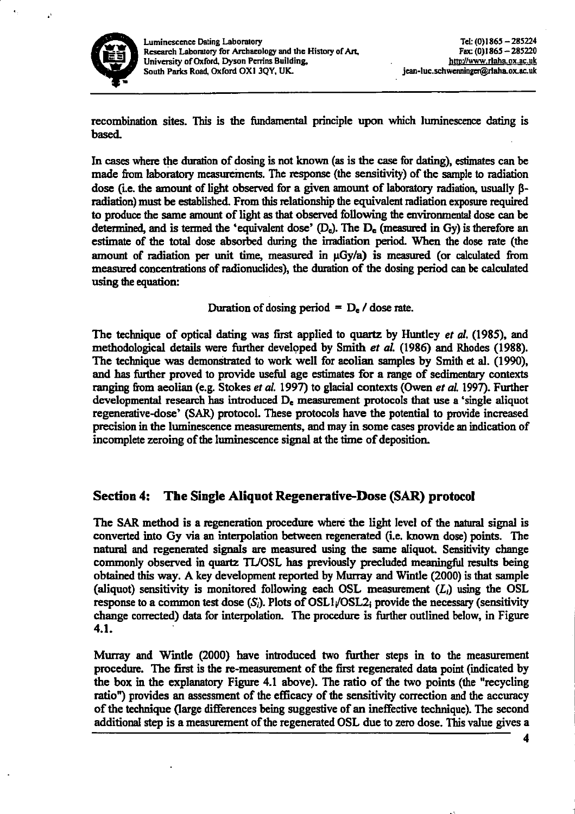

recombination sites. This is the fundamental principle upon which luminescence dating is based.

In cases where the duration of dosing is not known (as is the case for dating), estimates can be made from laboratory measurements. The response (the sensitivity) of the sample to radiation dose (i.e. the amount of light observed for a given amount of laboratory radiation, usually ßradiation) must be established. From this relationship the equivalent radiation exposure required to produce the same amount of light as that observed following the environmental dose can be determined, and is termed the 'equivalent dose'  $(D_e)$ . The  $D_e$  (measured in Gy) is therefore an estimate of the total dose absorbed during the irradiation period. When the dose rate (the amount of radiation per unit time, measured in  $\mu$ Gy/a) is measured (or calculated from measured concentrations of radionuclides), the duration of the dosing period can be calculated using the equation:

Duration of dosing period =  $D_e$  / dose rate.

The technique of optical dating was first applied to quartz by Huntley *et al.* (1985), and methodological details were further developed by Smith et al. (1986) and Rhodes (1988). The technique was demonstrated to work well for a colian samples by Smith et al. (1990), and has further proved to provide useful age estimates for a range of sedimentary contexts ranging from aeolian (e.g. Stokes et al. 1997) to glacial contexts (Owen et al. 1997). Further developmental research has introduced  $D_e$  measurement protocols that use a 'single aliquot regenerative-dose' (SAR) protocol. These protocols have the potential to provide increased precision in the luminescence measurements, and may in some cases provide an indication of incomplete zeroing of the luminescence signal at the time of deposition.

#### The Single Aliquot Regenerative-Dose (SAR) protocol **Section 4:**

The SAR method is a regeneration procedure where the light level of the natural signal is converted into Gy via an interpolation between regenerated (i.e. known dose) points. The natural and regenerated signals are measured using the same aliquot. Sensitivity change commonly observed in quartz TL/OSL has previously precluded meaningful results being obtained this way. A key development reported by Murray and Wintle (2000) is that sample (aliquot) sensitivity is monitored following each OSL measurement  $(L_i)$  using the OSL response to a common test dose  $(S_i)$ . Plots of OSL1/OSL2; provide the necessary (sensitivity change corrected) data for interpolation. The procedure is further outlined below, in Figure 4.1.

Murray and Wintle (2000) have introduced two further steps in to the measurement procedure. The first is the re-measurement of the first regenerated data point (indicated by the box in the explanatory Figure 4.1 above). The ratio of the two points (the "recycling ratio") provides an assessment of the efficacy of the sensitivity correction and the accuracy of the technique (large differences being suggestive of an ineffective technique). The second additional step is a measurement of the regenerated OSL due to zero dose. This value gives a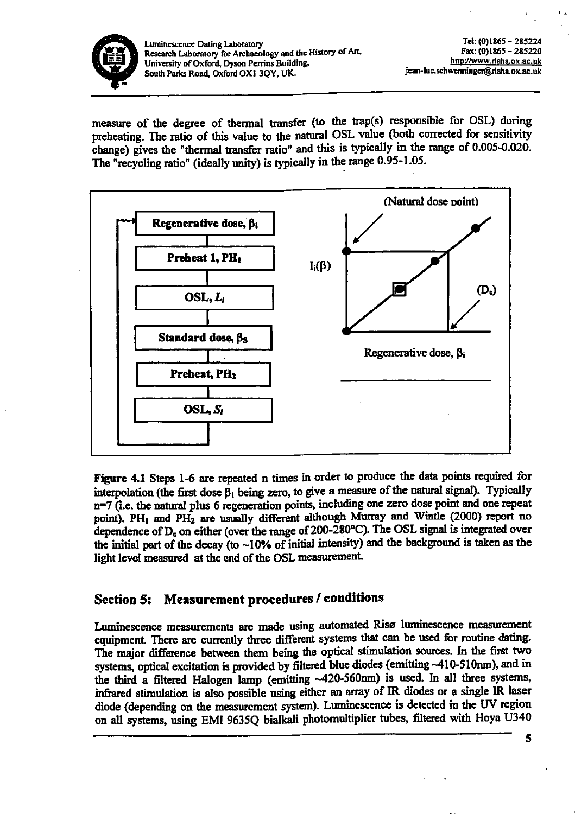

measure of the degree of thermal transfer (to the trap(s) responsible for OSL) during preheating. The ratio of this value to the natural OSL value (both corrected for sensitivity change) gives the "thermal transfer ratio" and this is typically in the range of 0.005-0.020. The "recycling ratio" (ideally unity) is typically in the range 0.95-1.05.



Figure 4.1 Steps 1-6 are repeated n times in order to produce the data points required for interpolation (the first dose  $\beta_1$  being zero, to give a measure of the natural signal). Typically n=7 (i.e. the natural plus 6 regeneration points, including one zero dose point and one repeat point). PH<sub>1</sub> and PH<sub>2</sub> are usually different although Murray and Wintle (2000) report no dependence of D<sub>c</sub> on either (over the range of 200-280°C). The OSL signal is integrated over the initial part of the decay (to ~10% of initial intensity) and the background is taken as the light level measured at the end of the OSL measurement.

# Section 5: Measurement procedures / conditions

Luminescence measurements are made using automated Risø luminescence measurement equipment. There are currently three different systems that can be used for routine dating. The major difference between them being the optical stimulation sources. In the first two systems, optical excitation is provided by filtered blue diodes (emitting ~410-510nm), and in the third a filtered Halogen lamp (emitting ~420-560nm) is used. In all three systems, infrared stimulation is also possible using either an array of IR diodes or a single IR laser diode (depending on the measurement system). Luminescence is detected in the UV region on all systems, using EMI 9635Q bialkali photomultiplier tubes, filtered with Hoya U340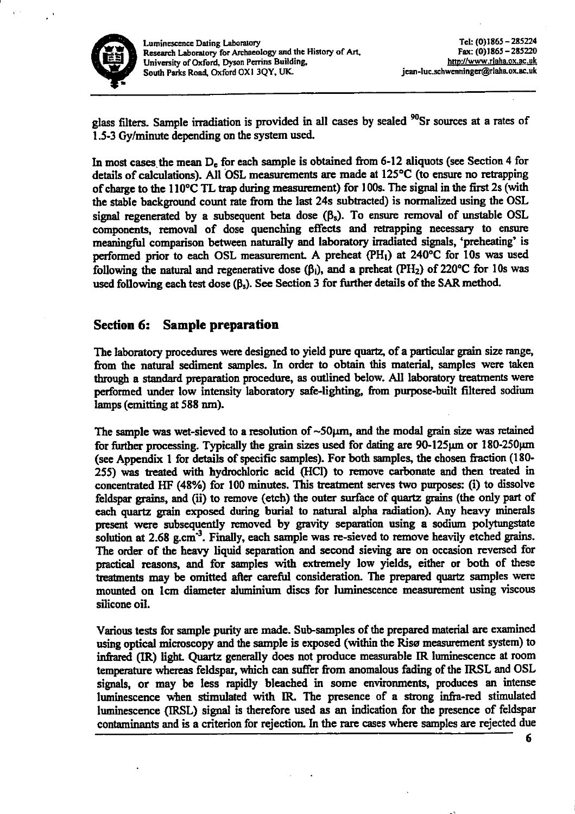

glass filters. Sample irradiation is provided in all cases by sealed <sup>90</sup>Sr sources at a rates of 1.5-3 Gy/minute depending on the system used.

In most cases the mean D<sub>e</sub> for each sample is obtained from 6-12 aliquots (see Section 4 for details of calculations). All OSL measurements are made at 125°C (to ensure no retrapping of charge to the 110°C TL trap during measurement) for 100s. The signal in the first 2s (with the stable background count rate from the last 24s subtracted) is normalized using the OSL signal regenerated by a subsequent beta dose  $(\beta_s)$ . To ensure removal of unstable OSL components, removal of dose quenching effects and retrapping necessary to ensure meaningful comparison between naturally and laboratory irradiated signals, 'preheating' is performed prior to each OSL measurement. A preheat (PH<sub>1</sub>) at 240°C for 10s was used following the natural and regenerative dose  $(\beta_i)$ , and a preheat (PH<sub>2</sub>) of 220°C for 10s was used following each test dose  $(\beta_s)$ . See Section 3 for further details of the SAR method.

# **Section 6: Sample preparation**

The laboratory procedures were designed to yield pure quartz, of a particular grain size range, from the natural sediment samples. In order to obtain this material, samples were taken through a standard preparation procedure, as outlined below. All laboratory treatments were performed under low intensity laboratory safe-lighting, from purpose-built filtered sodium lamps (emitting at 588 nm).

The sample was wet-sieved to a resolution of  $\sim$ 50 $\mu$ m, and the modal grain size was retained for further processing. Typically the grain sizes used for dating are 90-125 $\mu$ m or 180-250 $\mu$ m (see Appendix 1 for details of specific samples). For both samples, the chosen fraction (180-255) was treated with hydrochloric acid (HCl) to remove carbonate and then treated in concentrated HF (48%) for 100 minutes. This treatment serves two purposes: (i) to dissolve feldspar grains, and (ii) to remove (etch) the outer surface of quartz grains (the only part of each quartz grain exposed during burial to natural alpha radiation). Any heavy minerals present were subsequently removed by gravity separation using a sodium polytungstate solution at 2.68 g.cm<sup>-3</sup>. Finally, each sample was re-sieved to remove heavily etched grains. The order of the heavy liquid separation and second sieving are on occasion reversed for practical reasons, and for samples with extremely low yields, either or both of these treatments may be omitted after careful consideration. The prepared quartz samples were mounted on 1cm diameter aluminium discs for luminescence measurement using viscous silicone oil.

Various tests for sample purity are made. Sub-samples of the prepared material are examined using optical microscopy and the sample is exposed (within the Risø measurement system) to infrared (IR) light. Quartz generally does not produce measurable IR luminescence at room temperature whereas feldspar, which can suffer from anomalous fading of the IRSL and OSL signals, or may be less rapidly bleached in some environments, produces an intense luminescence when stimulated with IR. The presence of a strong infra-red stimulated luminescence (IRSL) signal is therefore used as an indication for the presence of feldspar contaminants and is a criterion for rejection. In the rare cases where samples are rejected due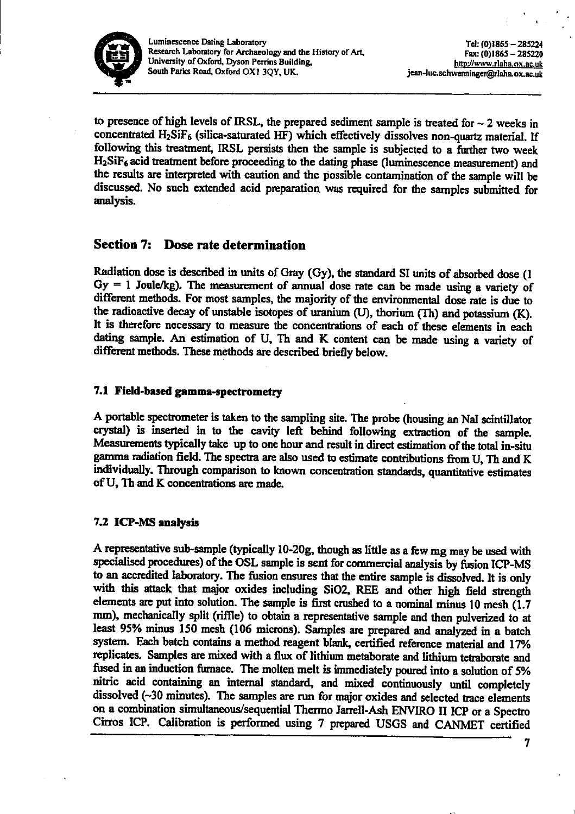

to presence of high levels of IRSL, the prepared sediment sample is treated for  $\sim$  2 weeks in concentrated H<sub>2</sub>SiF<sub>6</sub> (silica-saturated HF) which effectively dissolves non-quartz material, If following this treatment, IRSL persists then the sample is subjected to a further two week H<sub>2</sub>SiF<sub>6</sub> acid treatment before proceeding to the dating phase (luminescence measurement) and the results are interpreted with caution and the possible contamination of the sample will be discussed. No such extended acid preparation was required for the samples submitted for analysis.

#### **Section 7:** Dose rate determination

Radiation dose is described in units of Gray (Gy), the standard SI units of absorbed dose (1  $Gy = 1$  Joule/kg). The measurement of annual dose rate can be made using a variety of different methods. For most samples, the majority of the environmental dose rate is due to the radioactive decay of unstable isotopes of uranium (U), thorium (Th) and potassium (K). It is therefore necessary to measure the concentrations of each of these elements in each dating sample. An estimation of U, Th and K content can be made using a variety of different methods. These methods are described briefly below.

# 7.1 Field-based gamma-spectrometry

A portable spectrometer is taken to the sampling site. The probe (housing an NaI scintillator crystal) is inserted in to the cavity left behind following extraction of the sample. Measurements typically take up to one hour and result in direct estimation of the total in-situ gamma radiation field. The spectra are also used to estimate contributions from U, Th and K individually. Through comparison to known concentration standards, quantitative estimates of U, Th and K concentrations are made.

# 7.2 ICP-MS analysis

A representative sub-sample (typically 10-20g, though as little as a few mg may be used with specialised procedures) of the OSL sample is sent for commercial analysis by fusion ICP-MS to an accredited laboratory. The fusion ensures that the entire sample is dissolved. It is only with this attack that major oxides including SiO2, REE and other high field strength elements are put into solution. The sample is first crushed to a nominal minus 10 mesh (1.7) mm), mechanically split (riffle) to obtain a representative sample and then pulverized to at least 95% minus 150 mesh (106 microns). Samples are prepared and analyzed in a batch system. Each batch contains a method reagent blank, certified reference material and 17% replicates. Samples are mixed with a flux of lithium metaborate and lithium tetraborate and fused in an induction furnace. The molten melt is immediately poured into a solution of 5% nitric acid containing an internal standard, and mixed continuously until completely dissolved (~30 minutes). The samples are run for major oxides and selected trace elements on a combination simultaneous/sequential Thermo Jarrell-Ash ENVIRO II ICP or a Spectro Cirros ICP. Calibration is performed using 7 prepared USGS and CANMET certified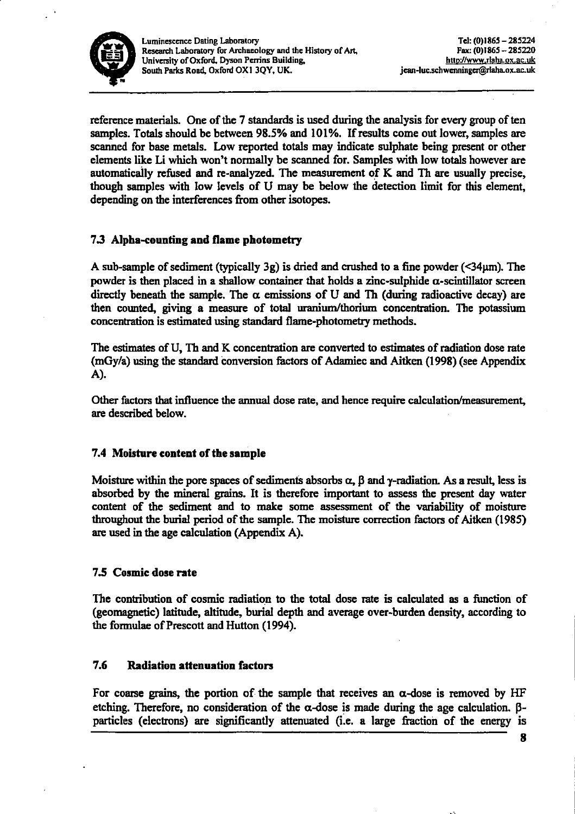

reference materials. One of the 7 standards is used during the analysis for every group of ten samples. Totals should be between 98.5% and 101%. If results come out lower, samples are scanned for base metals. Low reported totals may indicate sulphate being present or other elements like Li which won't normally be scanned for. Samples with low totals however are automatically refused and re-analyzed. The measurement of K and Th are usually precise, though samples with low levels of U may be below the detection limit for this element, depending on the interferences from other isotopes.

# 7.3 Alpha-counting and flame photometry

A sub-sample of sediment (typically 3g) is dried and crushed to a fine powder  $(\leq 34 \mu m)$ . The powder is then placed in a shallow container that holds a zinc-sulphide  $\alpha$ -scintillator screen directly beneath the sample. The  $\alpha$  emissions of U and Th (during radioactive decay) are then counted, giving a measure of total uranium/thorium concentration. The potassium concentration is estimated using standard flame-photometry methods.

The estimates of U, Th and K concentration are converted to estimates of radiation dose rate (mGy/a) using the standard conversion factors of Adamiec and Aitken (1998) (see Appendix A).

Other factors that influence the annual dose rate, and hence require calculation/measurement, are described below.

# 7.4 Moisture content of the sample

Moisture within the pore spaces of sediments absorbs  $\alpha$ ,  $\beta$  and  $\gamma$ -radiation. As a result, less is absorbed by the mineral grains. It is therefore important to assess the present day water content of the sediment and to make some assessment of the variability of moisture throughout the burial period of the sample. The moisture correction factors of Aitken (1985) are used in the age calculation (Appendix A).

### 7.5 Cosmic dose rate

The contribution of cosmic radiation to the total dose rate is calculated as a function of (geomagnetic) latitude, altitude, burial depth and average over-burden density, according to the formulae of Prescott and Hutton (1994).

#### 7.6 **Radiation attenuation factors**

For coarse grains, the portion of the sample that receives an  $\alpha$ -dose is removed by HF etching. Therefore, no consideration of the  $\alpha$ -dose is made during the age calculation.  $\beta$ particles (electrons) are significantly attenuated (i.e. a large fraction of the energy is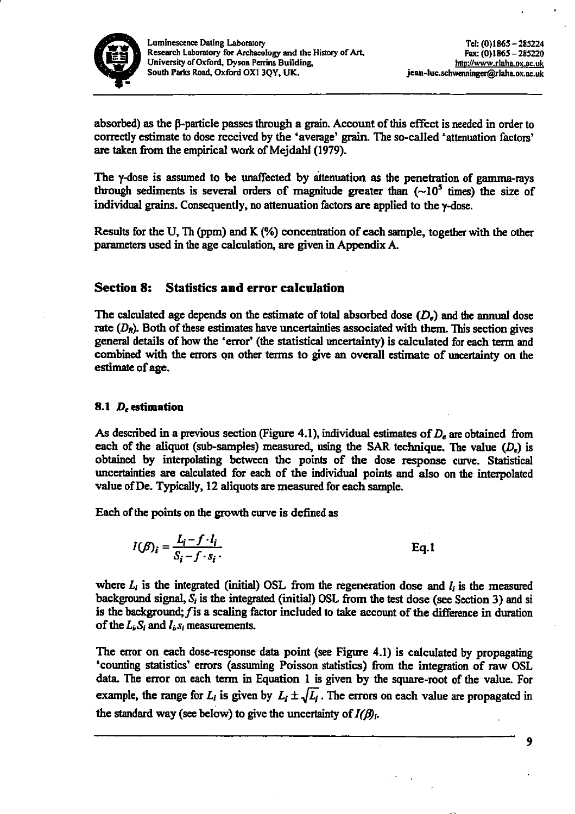

absorbed) as the B-particle passes through a grain. Account of this effect is needed in order to correctly estimate to dose received by the 'average' grain. The so-called 'attenuation factors' are taken from the empirical work of Mejdahl (1979).

The y-dose is assumed to be unaffected by attenuation as the penetration of gamma-rays through sediments is several orders of magnitude greater than  $(-10^5$  times) the size of individual grains. Consequently, no attenuation factors are applied to the y-dose.

Results for the U, Th (ppm) and K (%) concentration of each sample, together with the other parameters used in the age calculation, are given in Appendix A.

#### **Section 8: Statistics and error calculation**

The calculated age depends on the estimate of total absorbed dose  $(D<sub>r</sub>)$  and the annual dose rate  $(D_R)$ . Both of these estimates have uncertainties associated with them. This section gives general details of how the 'error' (the statistical uncertainty) is calculated for each term and combined with the errors on other terms to give an overall estimate of uncertainty on the estimate of age.

# 8.1  $D_{\epsilon}$  estimation

As described in a previous section (Figure 4.1), individual estimates of  $D<sub>r</sub>$  are obtained from each of the aliquot (sub-samples) measured, using the SAR technique. The value  $(D_e)$  is obtained by interpolating between the points of the dose response curve. Statistical uncertainties are calculated for each of the individual points and also on the interpolated value of De. Typically, 12 aliquots are measured for each sample.

Each of the points on the growth curve is defined as

$$
I(\beta)_i = \frac{L_i - f \cdot l_i}{S_i - f \cdot s_i}.
$$
 Eq.1

where  $L_i$  is the integrated (initial) OSL from the regeneration dose and  $l_i$  is the measured background signal,  $S_i$  is the integrated (initial) OSL from the test dose (see Section 3) and si is the background;  $f$  is a scaling factor included to take account of the difference in duration of the  $L_k S_i$  and  $l_k s_i$  measurements.

The error on each dose-response data point (see Figure 4.1) is calculated by propagating 'counting statistics' errors (assuming Poisson statistics) from the integration of raw OSL data. The error on each term in Equation 1 is given by the square-root of the value. For example, the range for  $L_i$  is given by  $L_i \pm \sqrt{L_i}$ . The errors on each value are propagated in the standard way (see below) to give the uncertainty of  $I(\beta)$ .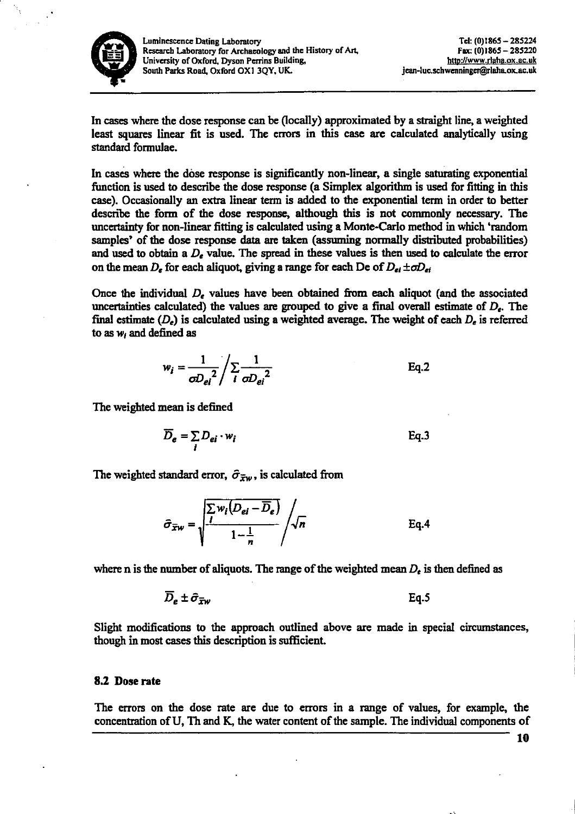

In cases where the dose response can be (locally) approximated by a straight line, a weighted least squares linear fit is used. The errors in this case are calculated analytically using standard formulae.

In cases where the dose response is significantly non-linear, a single saturating exponential function is used to describe the dose response (a Simplex algorithm is used for fitting in this case). Occasionally an extra linear term is added to the exponential term in order to better describe the form of the dose response, although this is not commonly necessary. The uncertainty for non-linear fitting is calculated using a Monte-Carlo method in which 'random samples' of the dose response data are taken (assuming normally distributed probabilities) and used to obtain a  $D_e$  value. The spread in these values is then used to calculate the error on the mean  $D_e$  for each aliquot, giving a range for each De of  $D_{ei} \pm \sigma D_{ei}$ 

Once the individual  $D_e$  values have been obtained from each aliquot (and the associated uncertainties calculated) the values are grouped to give a final overall estimate of  $D_{\epsilon}$ . The final estimate  $(D_e)$  is calculated using a weighted average. The weight of each  $D_e$  is referred to as  $w_i$  and defined as

$$
w_i = \frac{1}{\sigma D_{ei}^2} / \sum_{i} \frac{1}{\sigma D_{ei}^2}
$$
 Eq.2

The weighted mean is defined

$$
\overline{D}_{e} = \sum_{i} D_{ei} \cdot w_{i}
$$
 Eq.3

The weighted standard error,  $\hat{\sigma}_{\bar{x}w}$ , is calculated from

$$
\hat{\sigma}_{\overline{x}w} = \sqrt{\frac{\sum w_i (D_{ei} - \overline{D}_e)}{1 - \frac{1}{n}}} / \sqrt{n}
$$
 Eq.4

where n is the number of aliquots. The range of the weighted mean  $D_{\epsilon}$  is then defined as

$$
\overline{D}_{e} \pm \hat{\sigma}_{\overline{x}w} \qquad \qquad \text{Eq.5}
$$

Slight modifications to the approach outlined above are made in special circumstances, though in most cases this description is sufficient.

### 8.2 Dose rate

The errors on the dose rate are due to errors in a range of values, for example, the concentration of U, Th and K, the water content of the sample. The individual components of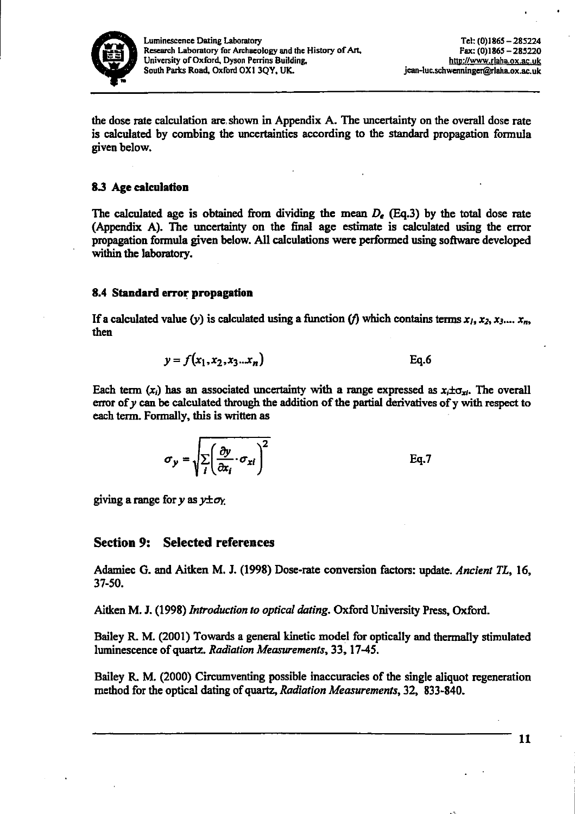

the dose rate calculation are shown in Appendix A. The uncertainty on the overall dose rate is calculated by combing the uncertainties according to the standard propagation formula given below.

# 8.3 Age calculation

The calculated age is obtained from dividing the mean  $D_e$  (Eq.3) by the total dose rate (Appendix A). The uncertainty on the final age estimate is calculated using the error propagation formula given below. All calculations were performed using software developed within the laboratory.

### 8.4 Standard error propagation

If a calculated value (y) is calculated using a function (f) which contains terms  $x_1, x_2, x_3,..., x_n$ , then

$$
y = f(x_1, x_2, x_3 \dots x_n)
$$
Eq.6

Each term  $(x_i)$  has an associated uncertainty with a range expressed as  $x_i \pm \sigma_{xi}$ . The overall error of  $y$  can be calculated through the addition of the partial derivatives of  $y$  with respect to each term. Formally, this is written as

$$
\sigma_y = \sqrt{\sum_i \left(\frac{\partial y}{\partial x_i} \cdot \sigma_{xi}\right)^2}
$$
 Eq.7

giving a range for y as  $y \pm \sigma_y$ .

# **Section 9: Selected references**

Adamiec G. and Aitken M. J. (1998) Dose-rate conversion factors: update. Ancient TL, 16, 37-50.

Aitken M. J. (1998) Introduction to optical dating. Oxford University Press, Oxford.

Bailey R. M. (2001) Towards a general kinetic model for optically and thermally stimulated luminescence of quartz. Radiation Measurements, 33, 17-45.

Bailey R. M. (2000) Circumventing possible inaccuracies of the single aliquot regeneration method for the optical dating of quartz, Radiation Measurements, 32, 833-840.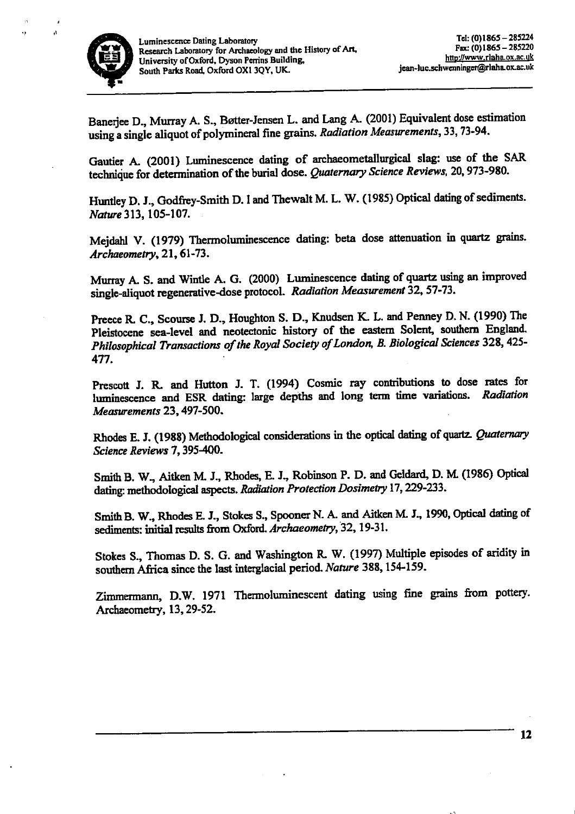

 $\bar{t}_2$ 

Banerjee D., Murray A. S., Bøtter-Jensen L. and Lang A. (2001) Equivalent dose estimation using a single aliquot of polymineral fine grains. Radiation Measurements, 33, 73-94.

Gautier A. (2001) Luminescence dating of archaeometallurgical slag: use of the SAR technique for determination of the burial dose. Quaternary Science Reviews, 20, 973-980.

Huntley D. J., Godfrey-Smith D. I and Thewalt M. L. W. (1985) Optical dating of sediments. Nature 313, 105-107.

Mejdahl V. (1979) Thermoluminescence dating: beta dose attenuation in quartz grains.  $Archeometry, 21, 61-73.$ 

Murray A. S. and Wintle A. G. (2000) Luminescence dating of quartz using an improved single-aliquot regenerative-dose protocol. Radiation Measurement 32, 57-73.

Preece R. C., Scourse J. D., Houghton S. D., Knudsen K. L. and Penney D. N. (1990) The Pleistocene sea-level and neotectonic history of the eastern Solent, southern England. Philosophical Transactions of the Royal Society of London, B. Biological Sciences 328, 425-477.

Prescott J. R. and Hutton J. T. (1994) Cosmic ray contributions to dose rates for luminescence and ESR dating: large depths and long term time variations. Radiation Measurements 23, 497-500.

Rhodes E. J. (1988) Methodological considerations in the optical dating of quartz. Quaternary Science Reviews 7, 395-400.

Smith B. W., Aitken M. J., Rhodes, E. J., Robinson P. D. and Geldard, D. M. (1986) Optical dating: methodological aspects. Radiation Protection Dosimetry 17, 229-233.

Smith B. W., Rhodes E. J., Stokes S., Spooner N. A. and Aitken M. J., 1990, Optical dating of sediments: initial results from Oxford. Archaeometry, 32, 19-31.

Stokes S., Thomas D. S. G. and Washington R. W. (1997) Multiple episodes of aridity in southern Africa since the last interglacial period. Nature 388, 154-159.

Zimmermann, D.W. 1971 Thermoluminescent dating using fine grains from pottery. Archaeometry, 13, 29-52.